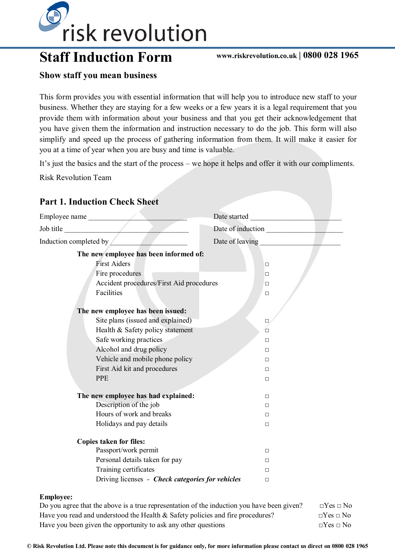

# **Staff Induction Form www.riskrevolution.co.uk | 0800 028 1965**

#### **Show staff you mean business**

This form provides you with essential information that will help you to introduce new staff to your business. Whether they are staying for a few weeks or a few years it is a legal requirement that you provide them with information about your business and that you get their acknowledgement that you have given them the information and instruction necessary to do the job. This form will also simplify and speed up the process of gathering information from them. It will make it easier for you at a time of year when you are busy and time is valuable.

It's just the basics and the start of the process – we hope it helps and offer it with our compliments.

Risk Revolution Team

| Employee name                                    | Date started      |
|--------------------------------------------------|-------------------|
| Job title                                        | Date of induction |
| Induction completed by                           | Date of leaving   |
| The new employee has been informed of:           |                   |
| <b>First Aiders</b>                              | $\Box$            |
| Fire procedures                                  | $\Box$            |
| Accident procedures/First Aid procedures         | $\Box$            |
| Facilities                                       | $\Box$            |
|                                                  |                   |
| The new employee has been issued:                |                   |
| Site plans (issued and explained)                | $\Box$            |
| Health & Safety policy statement                 | O                 |
| Safe working practices                           | $\Box$            |
| Alcohol and drug policy                          | $\Box$            |
| Vehicle and mobile phone policy                  | $\Box$            |
| First Aid kit and procedures                     | $\Box$            |
| <b>PPE</b>                                       | $\Box$            |
| The new employee has had explained:              | $\Box$            |
| Description of the job                           | $\Box$            |
| Hours of work and breaks                         | $\Box$            |
| Holidays and pay details                         | $\Box$            |
| <b>Copies taken for files:</b>                   |                   |
| Passport/work permit                             | $\Box$            |
| Personal details taken for pay                   | $\Box$            |
| Training certificates                            | $\Box$            |
| Driving licenses - Check categories for vehicles | $\Box$            |

#### **Employee:**

| Do you agree that the above is a true representation of the induction you have been given? | $\Box$ Yes $\Box$ No |
|--------------------------------------------------------------------------------------------|----------------------|
| Have you read and understood the Health $\&$ Safety policies and fire procedures?          | $\Box$ Yes $\Box$ No |
| Have you been given the opportunity to ask any other questions                             | $\neg Yes \sqcap No$ |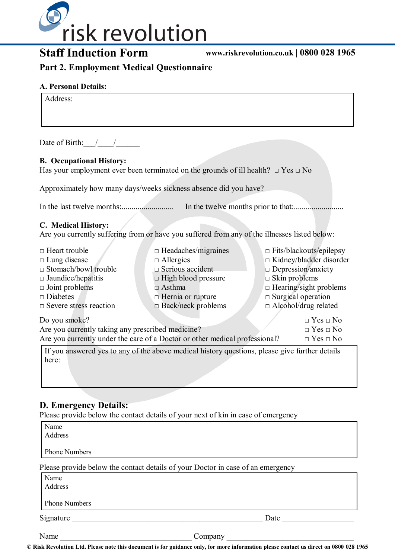

**Staff Induction Form www.riskrevolution.co.uk | 0800 028 1965**

**Part 2. Employment Medical Questionnaire**

#### **A. Personal Details:**

| Address:                                                                                                                       |                                                                             |                                |  |  |
|--------------------------------------------------------------------------------------------------------------------------------|-----------------------------------------------------------------------------|--------------------------------|--|--|
| Date of Birth: $/$ /                                                                                                           |                                                                             |                                |  |  |
| <b>B.</b> Occupational History:<br>Has your employment ever been terminated on the grounds of ill health? $\Box$ Yes $\Box$ No |                                                                             |                                |  |  |
|                                                                                                                                | Approximately how many days/weeks sickness absence did you have?            |                                |  |  |
|                                                                                                                                |                                                                             |                                |  |  |
| C. Medical History:<br>Are you currently suffering from or have you suffered from any of the illnesses listed below:           |                                                                             |                                |  |  |
| $\Box$ Heart trouble                                                                                                           | $\Box$ Headaches/migraines                                                  | $\Box$ Fits/blackouts/epilepsy |  |  |
| $\Box$ Lung disease                                                                                                            | $\Box$ Allergies                                                            | $\Box$ Kidney/bladder disorder |  |  |
| $\Box$ Stomach/bowl trouble                                                                                                    | $\Box$ Serious accident                                                     | $\Box$ Depression/anxiety      |  |  |
| $\Box$ Jaundice/hepatitis                                                                                                      | $\Box$ High blood pressure                                                  | $\Box$ Skin problems           |  |  |
| $\Box$ Joint problems                                                                                                          | $\Box$ Asthma                                                               | $\Box$ Hearing/sight problems  |  |  |
| $\Box$ Diabetes                                                                                                                | $\Box$ Hernia or rupture                                                    | $\square$ Surgical operation   |  |  |
| $\Box$ Severe stress reaction                                                                                                  | $\Box$ Back/neck problems                                                   | $\Box$ Alcohol/drug related    |  |  |
| Do you smoke?                                                                                                                  |                                                                             | $\Box$ Yes $\Box$ No           |  |  |
| Are you currently taking any prescribed medicine?                                                                              |                                                                             | $\Box$ Yes $\Box$ No           |  |  |
|                                                                                                                                | Are you currently under the care of a Doctor or other medical professional? | $\Box$ Yes $\Box$ No           |  |  |

If you answered yes to any of the above medical history questions, please give further details here:

### **D. Emergency Details:**

Please provide below the contact details of your next of kin in case of emergency

| Name                 |                                                                                 |      |
|----------------------|---------------------------------------------------------------------------------|------|
| Address              |                                                                                 |      |
|                      |                                                                                 |      |
| <b>Phone Numbers</b> |                                                                                 |      |
|                      | Please provide below the contact details of your Doctor in case of an emergency |      |
| Name                 |                                                                                 |      |
| Address              |                                                                                 |      |
| <b>Phone Numbers</b> |                                                                                 |      |
| Signature            |                                                                                 | Date |
| Name                 | Company                                                                         |      |

**© Risk Revolution Ltd. Please note this document is for guidance only, for more information please contact us direct on 0800 028 1965**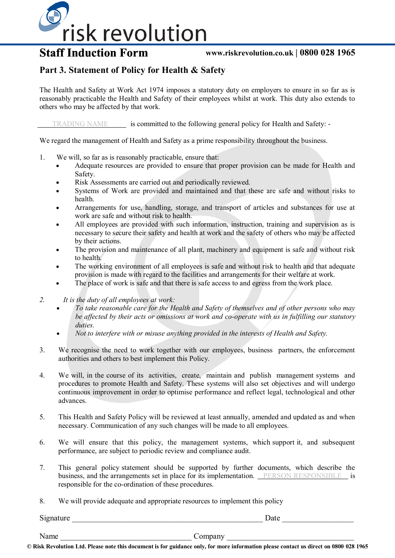

## **Staff Induction Form**

#### **www.riskrevolution.co.uk | 0800 028 1965**

#### **Part 3. Statement of Policy for Health & Safety**

The Health and Safety at Work Act 1974 imposes a statutory duty on employers to ensure in so far as is reasonably practicable the Health and Safety of their employees whilst at work. This duty also extends to others who may be affected by that work.

TRADING NAME is committed to the following general policy for Health and Safety: -

We regard the management of Health and Safety as a prime responsibility throughout the business.

- 1. We will, so far as is reasonably practicable, ensure that:
	- Adequate resources are provided to ensure that proper provision can be made for Health and Safety.
	- Risk Assessments are carried out and periodically reviewed.
	- Systems of Work are provided and maintained and that these are safe and without risks to health.
	- Arrangements for use, handling, storage, and transport of articles and substances for use at work are safe and without risk to health.
	- All employees are provided with such information, instruction, training and supervision as is necessary to secure their safety and health at work and the safety of others who may be affected by their actions.
	- The provision and maintenance of all plant, machinery and equipment is safe and without risk to health.
	- The working environment of all employees is safe and without risk to health and that adequate provision is made with regard to the facilities and arrangements for their welfare at work.
	- The place of work is safe and that there is safe access to and egress from the work place.
- *2. It is the duty of all employees at work:*
	- *To take reasonable care for the Health and Safety of themselves and of other persons who may be affected by their acts or omissions at work and co-operate with us in fulfilling our statutory duties.*
	- *Not to interfere with or misuse anything provided in the interests of Health and Safety.*
- 3. We recognise the need to work together with our employees, business partners, the enforcement authorities and others to best implement this Policy.
- 4. We will, in the course of its activities, create, maintain and publish management systems and procedures to promote Health and Safety. These systems will also set objectives and will undergo continuous improvement in order to optimise performance and reflect legal, technological and other advances.
- 5. This Health and Safety Policy will be reviewed at least annually, amended and updated as and when necessary. Communication of any such changes will be made to all employees.
- 6. We will ensure that this policy, the management systems, which support it, and subsequent performance, are subject to periodic review and compliance audit.
- 7. This general policy statement should be supported by further documents, which describe the business, and the arrangements set in place for its implementation. PERSON RESPONSIBLE is responsible for the co-ordination of these procedures.
- 8. We will provide adequate and appropriate resources to implement this policy

Signature  $\Box$ Name **Name** company  $\sim$  company  $\sim$  company  $\sim$  company  $\sim$  company  $\sim$  company  $\sim$  company  $\sim$  company  $\sim$  company  $\sim$  company  $\sim$  company  $\sim$  company  $\sim$  company  $\sim$  company  $\sim$  company  $\sim$  company  $\sim$  co

**© Risk Revolution Ltd. Please note this document is for guidance only, for more information please contact us direct on 0800 028 1965**